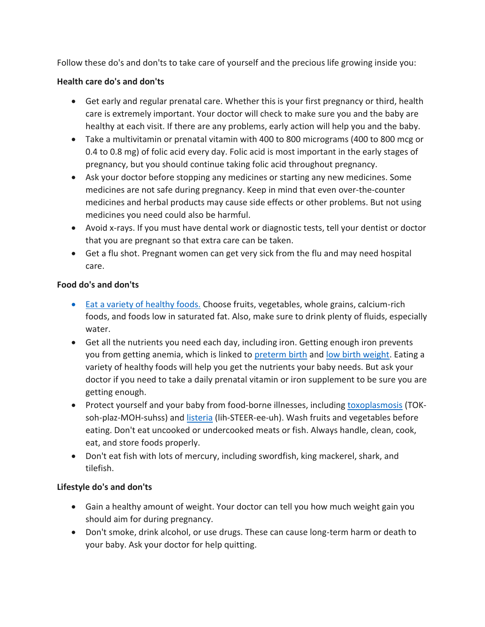Follow these do's and don'ts to take care of yourself and the precious life growing inside you:

## **Health care do's and don'ts**

- Get early and regular prenatal care. Whether this is your first pregnancy or third, health care is extremely important. Your doctor will check to make sure you and the baby are healthy at each visit. If there are any problems, early action will help you and the baby.
- Take a multivitamin or prenatal vitamin with 400 to 800 micrograms (400 to 800 mcg or 0.4 to 0.8 mg) of folic acid every day. Folic acid is most important in the early stages of pregnancy, but you should continue taking folic acid throughout pregnancy.
- Ask your doctor before stopping any medicines or starting any new medicines. Some medicines are not safe during pregnancy. Keep in mind that even over-the-counter medicines and herbal products may cause side effects or other problems. But not using medicines you need could also be harmful.
- Avoid x-rays. If you must have dental work or diagnostic tests, tell your dentist or doctor that you are pregnant so that extra care can be taken.
- Get a flu shot. Pregnant women can get very sick from the flu and may need hospital care.

## **Food do's and don'ts**

- [Eat a variety of healthy foods.](https://www.womenshealth.gov/pregnancy/youre-pregnant-now-what/staying-healthy-and-safe#1) Choose fruits, vegetables, whole grains, calcium-rich foods, and foods low in saturated fat. Also, make sure to drink plenty of fluids, especially water.
- Get all the nutrients you need each day, including iron. Getting enough iron prevents you from getting anemia, which is linked to [preterm birth](https://www.womenshealth.gov/glossary#preterm_birth) an[d low birth weight.](https://www.womenshealth.gov/glossary#low_birth_weight) Eating a variety of healthy foods will help you get the nutrients your baby needs. But ask your doctor if you need to take a daily prenatal vitamin or iron supplement to be sure you are getting enough.
- Protect yourself and your baby from food-borne illnesses, including [toxoplasmosis](https://www.womenshealth.gov/glossary#toxoplasmosis) (TOKsoh-plaz-MOH-suhss) and [listeria](https://www.womenshealth.gov/glossary#listeria) (lih-STEER-ee-uh). Wash fruits and vegetables before eating. Don't eat uncooked or undercooked meats or fish. Always handle, clean, cook, eat, and store foods properly.
- Don't eat fish with lots of mercury, including swordfish, king mackerel, shark, and tilefish.

## **Lifestyle do's and don'ts**

- Gain a healthy amount of weight. Your doctor can tell you how much weight gain you should aim for during pregnancy.
- Don't smoke, drink alcohol, or use drugs. These can cause long-term harm or death to your baby. Ask your doctor for help quitting.